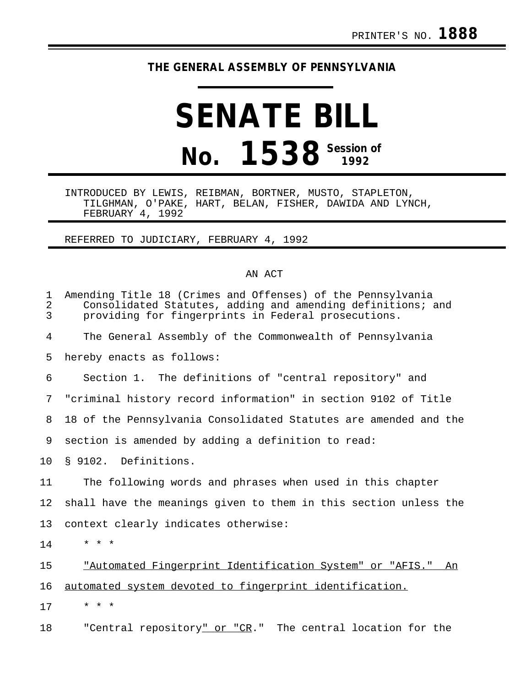## **THE GENERAL ASSEMBLY OF PENNSYLVANIA**

## **SENATE BILL No. 1538 Session of**

INTRODUCED BY LEWIS, REIBMAN, BORTNER, MUSTO, STAPLETON, TILGHMAN, O'PAKE, HART, BELAN, FISHER, DAWIDA AND LYNCH, FEBRUARY 4, 1992

## REFERRED TO JUDICIARY, FEBRUARY 4, 1992

## AN ACT

| $\mathbf 1$<br>$\overline{a}$<br>3 | Amending Title 18 (Crimes and Offenses) of the Pennsylvania<br>Consolidated Statutes, adding and amending definitions; and<br>providing for fingerprints in Federal prosecutions. |
|------------------------------------|-----------------------------------------------------------------------------------------------------------------------------------------------------------------------------------|
| 4                                  | The General Assembly of the Commonwealth of Pennsylvania                                                                                                                          |
| 5                                  | hereby enacts as follows:                                                                                                                                                         |
| 6                                  | Section 1. The definitions of "central repository" and                                                                                                                            |
| 7                                  | "criminal history record information" in section 9102 of Title                                                                                                                    |
| 8                                  | 18 of the Pennsylvania Consolidated Statutes are amended and the                                                                                                                  |
| 9                                  | section is amended by adding a definition to read:                                                                                                                                |
| 10                                 | § 9102. Definitions.                                                                                                                                                              |
| 11                                 | The following words and phrases when used in this chapter                                                                                                                         |
| 12                                 | shall have the meanings given to them in this section unless the                                                                                                                  |
| 13                                 | context clearly indicates otherwise:                                                                                                                                              |
| 14                                 | $\star$ $\star$ $\star$                                                                                                                                                           |
| 15                                 | "Automated Fingerprint Identification System" or "AFIS."<br>An                                                                                                                    |
| 16                                 | automated system devoted to fingerprint identification.                                                                                                                           |
| 17                                 | * * *                                                                                                                                                                             |
| 18                                 | "Central repository" or "CR."<br>The central location for the                                                                                                                     |

18 The "Central repository<u>" or "CR</u>." The central location for the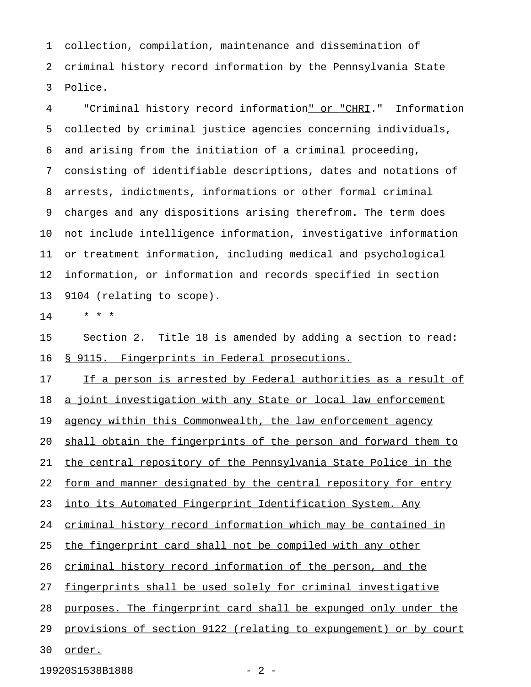1 collection, compilation, maintenance and dissemination of 2 criminal history record information by the Pennsylvania State 3 Police.

4 "Criminal history record information<u>" or "CHRI</u>." Information 5 collected by criminal justice agencies concerning individuals, 6 and arising from the initiation of a criminal proceeding, 7 consisting of identifiable descriptions, dates and notations of 8 arrests, indictments, informations or other formal criminal 9 charges and any dispositions arising therefrom. The term does 10 not include intelligence information, investigative information 11 or treatment information, including medical and psychological 12 information, or information and records specified in section 13 9104 (relating to scope).

 $14$  \* \* \*

15 Section 2. Title 18 is amended by adding a section to read: 16 § 9115. Fingerprints in Federal prosecutions.

17 If a person is arrested by Federal authorities as a result of 18 a joint investigation with any State or local law enforcement 19 agency within this Commonwealth, the law enforcement agency 20 shall obtain the fingerprints of the person and forward them to 21 the central repository of the Pennsylvania State Police in the 22 form and manner designated by the central repository for entry 23 into its Automated Fingerprint Identification System. Any 24 criminal history record information which may be contained in 25 the fingerprint card shall not be compiled with any other 26 criminal history record information of the person, and the 27 fingerprints shall be used solely for criminal investigative 28 purposes. The fingerprint card shall be expunged only under the 29 provisions of section 9122 (relating to expungement) or by court 30 order.

19920S1538B1888 - 2 -